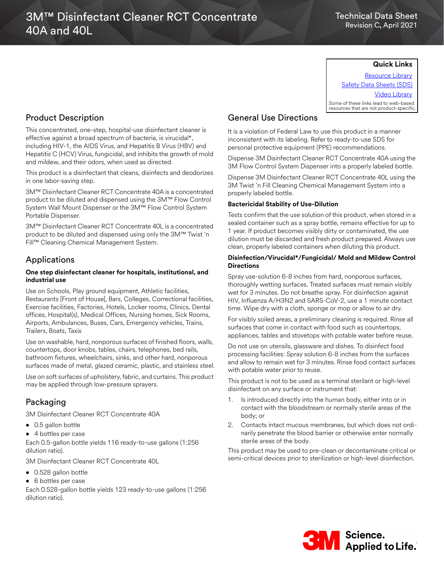## Technical Data Sheet Revision C, April 2021

## **Quick Links**

[Resource Library](https://www.3m.com/3M/en_US/commercial-cleaning-us/resources/resource-library/#) [Safety Data Sheets \(SDS\)](https://www.3m.com/3M/en_US/commercial-cleaning-us/resources/sds-finder/) [Video Library](https://www.3m.com/3M/en_US/commercial-cleaning-us/resources/video-library/) Some of these links lead to web-based resources that are not product-specific.

# Product Description

This concentrated, one-step, hospital-use disinfectant cleaner is effective against a broad spectrum of bacteria, is virucidal\*, including HIV-1, the AIDS Virus, and Hepatitis B Virus (HBV) and Hepatitis C (HCV) Virus, fungicidal, and inhibits the growth of mold and mildew, and their odors, when used as directed.

This product is a disinfectant that cleans, disinfects and deodorizes in one labor-saving step.

3M™ Disinfectant Cleaner RCT Concentrate 40A is a concentrated product to be diluted and dispensed using the 3M™ Flow Control System Wall Mount Dispenser or the 3M™ Flow Control System Portable Dispenser.

3M™ Disinfectant Cleaner RCT Concentrate 40L is a concentrated product to be diluted and dispensed using only the 3M™ Twist 'n Fill™ Cleaning Chemical Management System.

# Applications

## **One step disinfectant cleaner for hospitals, institutional, and industrial use**

Use on Schools, Play ground equipment, Athletic facilities, Restaurants [Front of House], Bars, Colleges, Correctional facilities, Exercise facilities, Factories, Hotels, Locker rooms, Clinics, Dental offices, Hospital(s), Medical Offices, Nursing homes, Sick Rooms, Airports, Ambulances, Buses, Cars, Emergency vehicles, Trains, Trailers, Boats, Taxis

Use on washable, hard, nonporous surfaces of finished floors, walls, countertops, door knobs, tables, chairs, telephones, bed rails, bathroom fixtures, wheelchairs, sinks, and other hard, nonporous surfaces made of metal, glazed ceramic, plastic, and stainless steel.

Use on soft surfaces of upholstery, fabric, and curtains. This product may be applied through low-pressure sprayers.

# Packaging

3M Disinfectant Cleaner RCT Concentrate 40A

- 0.5 gallon bottle
- 4 bottles per case

Each 0.5-gallon bottle yields 116 ready-to-use gallons (1:256 dilution ratio).

3M Disinfectant Cleaner RCT Concentrate 40L

- 0.528 gallon bottle
- 6 bottles per case

Each 0.528-gallon bottle yields 123 ready-to-use gallons (1:256 dilution ratio).

# General Use Directions

It is a violation of Federal Law to use this product in a manner inconsistent with its labeling. Refer to ready-to-use SDS for personal protective equipment (PPE) recommendations.

Dispense 3M Disinfectant Cleaner RCT Concentrate 40A using the 3M Flow Control System Dispenser into a properly labeled bottle.

Dispense 3M Disinfectant Cleaner RCT Concentrate 40L using the 3M Twist 'n Fill Cleaning Chemical Management System into a properly labeled bottle.

## **Bactericidal Stability of Use-Dilution**

Tests confirm that the use solution of this product, when stored in a sealed container such as a spray bottle, remains effective for up to 1 year. If product becomes visibly dirty or contaminated, the use dilution must be discarded and fresh product prepared. Always use clean, properly labeled containers when diluting this product.

## **Disinfection/Virucidal\*/Fungicidal/ Mold and Mildew Control Directions**

Spray use-solution 6-8 inches from hard, nonporous surfaces, thoroughly wetting surfaces. Treated surfaces must remain visibly wet for 3 minutes. Do not breathe spray. For disinfection against HIV, Influenza A/H3N2 and SARS-CoV-2, use a 1 minute contact time. Wipe dry with a cloth, sponge or mop or allow to air dry.

For visibly soiled areas, a preliminary cleaning is required. Rinse all surfaces that come in contact with food such as countertops, appliances, tables and stovetops with potable water before reuse.

Do not use on utensils, glassware and dishes. To disinfect food processing facilities: Spray solution 6-8 inches from the surfaces and allow to remain wet for 3 minutes. Rinse food contact surfaces with potable water prior to reuse.

This product is not to be used as a terminal sterilant or high-level disinfectant on any surface or instrument that:

- 1. Is introduced directly into the human body, either into or in contact with the bloodstream or normally sterile areas of the body; or
- 2. Contacts intact mucous membranes, but which does not ordinarily penetrate the blood barrier or otherwise enter normally sterile areas of the body.

This product may be used to pre-clean or decontaminate critical or semi-critical devices prior to sterilization or high-level disinfection.

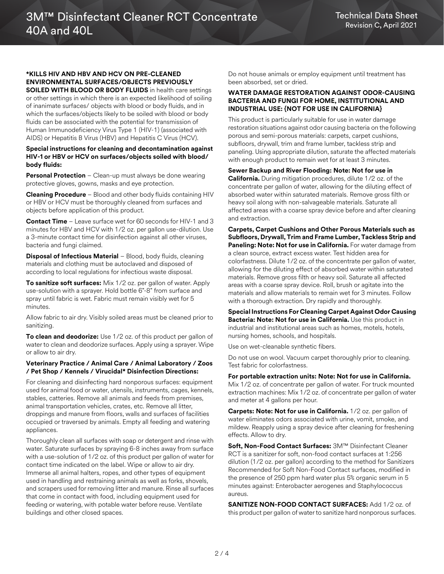#### **\*KILLS HIV AND HBV AND HCV ON PRE-CLEANED ENVIRONMENTAL SURFACES/OBJECTS PREVIOUSLY SOILED WITH BLOOD OR BODY FLUIDS** in health care settings

or other settings in which there is an expected likelihood of soiling of inanimate surfaces/ objects with blood or body fluids, and in which the surfaces/objects likely to be soiled with blood or body fluids can be associated with the potential for transmission of Human Immunodeficiency Virus Type 1 (HIV-1) (associated with AIDS) or Hepatitis B Virus (HBV) and Hepatitis C Virus (HCV).

#### **Special instructions for cleaning and decontamination against HIV-1 or HBV or HCV on surfaces/objects soiled with blood/ body fluids:**

**Personal Protection** – Clean-up must always be done wearing protective gloves, gowns, masks and eye protection.

**Cleaning Procedure** – Blood and other body fluids containing HIV or HBV or HCV must be thoroughly cleaned from surfaces and objects before application of this product.

**Contact Time** – Leave surface wet for 60 seconds for HIV-1 and 3 minutes for HBV and HCV with 1/2 oz. per gallon use-dilution. Use a 3-minute contact time for disinfection against all other viruses, bacteria and fungi claimed.

**Disposal of Infectious Material** – Blood, body fluids, cleaning materials and clothing must be autoclaved and disposed of according to local regulations for infectious waste disposal.

**To sanitize soft surfaces:** Mix 1/2 oz. per gallon of water. Apply use-solution with a sprayer. Hold bottle 6"-8" from surface and spray until fabric is wet. Fabric must remain visibly wet for 5 minutes.

Allow fabric to air dry. Visibly soiled areas must be cleaned prior to sanitizing.

**To clean and deodorize:** Use 1/2 oz. of this product per gallon of water to clean and deodorize surfaces. Apply using a sprayer. Wipe or allow to air dry.

## **Veterinary Practice / Animal Care / Animal Laboratory / Zoos / Pet Shop / Kennels / Virucidal\* Disinfection Directions:**

For cleaning and disinfecting hard nonporous surfaces: equipment used for animal food or water, utensils, instruments, cages, kennels, stables, catteries. Remove all animals and feeds from premises, animal transportation vehicles, crates, etc. Remove all litter, droppings and manure from floors, walls and surfaces of facilities occupied or traversed by animals. Empty all feeding and watering appliances.

Thoroughly clean all surfaces with soap or detergent and rinse with water. Saturate surfaces by spraying 6-8 inches away from surface with a use-solution of 1/2 oz. of this product per gallon of water for contact time indicated on the label. Wipe or allow to air dry. Immerse all animal halters, ropes, and other types of equipment used in handling and restraining animals as well as forks, shovels, and scrapers used for removing litter and manure. Rinse all surfaces that come in contact with food, including equipment used for feeding or watering, with potable water before reuse. Ventilate buildings and other closed spaces.

Do not house animals or employ equipment until treatment has been absorbed, set or dried.

#### **WATER DAMAGE RESTORATION AGAINST ODOR-CAUSING BACTERIA AND FUNGI FOR HOME, INSTITUTIONAL AND INDUSTRIAL USE: {NOT FOR USE IN CALIFORNIA}**

This product is particularly suitable for use in water damage restoration situations against odor causing bacteria on the following porous and semi-porous materials: carpets, carpet cushions, subfloors, drywall, trim and frame lumber, tackless strip and paneling. Using appropriate dilution, saturate the affected materials with enough product to remain wet for at least 3 minutes.

## **Sewer Backup and River Flooding: Note: Not for use in**

**California.** During mitigation procedures, dilute 1/2 oz. of the concentrate per gallon of water, allowing for the diluting effect of absorbed water within saturated materials. Remove gross filth or heavy soil along with non-salvageable materials. Saturate all affected areas with a coarse spray device before and after cleaning and extraction.

**Carpets, Carpet Cushions and Other Porous Materials such as Subfloors, Drywall, Trim and Frame Lumber, Tackless Strip and Paneling: Note: Not for use in California.** For water damage from a clean source, extract excess water. Test hidden area for colorfastness. Dilute 1/2 oz. of the concentrate per gallon of water, allowing for the diluting effect of absorbed water within saturated materials. Remove gross filth or heavy soil. Saturate all affected areas with a coarse spray device. Roll, brush or agitate into the materials and allow materials to remain wet for 3 minutes. Follow with a thorough extraction. Dry rapidly and thoroughly.

**Special Instructions For Cleaning Carpet Against Odor Causing Bacteria: Note: Not for use in California.** Use this product in industrial and institutional areas such as homes, motels, hotels, nursing homes, schools, and hospitals.

Use on wet-cleanable synthetic fibers.

Do not use on wool. Vacuum carpet thoroughly prior to cleaning. Test fabric for colorfastness.

#### **For portable extraction units: Note: Not for use in California.**  Mix 1/2 oz. of concentrate per gallon of water. For truck mounted extraction machines: Mix 1/2 oz. of concentrate per gallon of water and meter at 4 gallons per hour.

**Carpets: Note: Not for use in California.** 1/2 oz. per gallon of water eliminates odors associated with urine, vomit, smoke, and mildew. Reapply using a spray device after cleaning for freshening effects. Allow to dry.

**Soft, Non-Food Contact Surfaces:** 3M™ Disinfectant Cleaner RCT is a sanitizer for soft, non-food contact surfaces at 1:256 dilution (1/2 oz. per gallon) according to the method for Sanitizers Recommended for Soft Non-Food Contact surfaces, modified in the presence of 250 ppm hard water plus 5% organic serum in 5 minutes against: Enterobacter aerogenes and Staphylococcus aureus.

**SANITIZE NON-FOOD CONTACT SURFACES:** Add 1/2 oz. of this product per gallon of water to sanitize hard nonporous surfaces.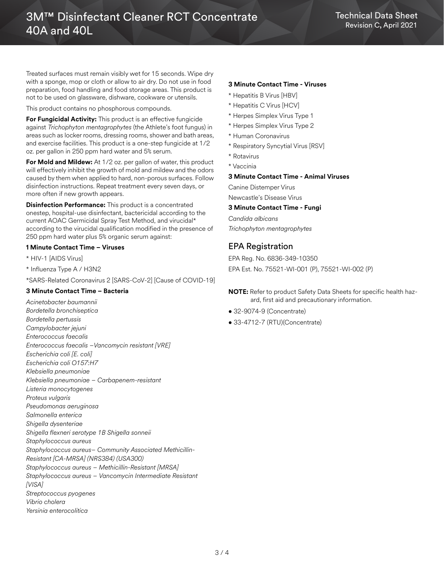Treated surfaces must remain visibly wet for 15 seconds. Wipe dry with a sponge, mop or cloth or allow to air dry. Do not use in food preparation, food handling and food storage areas. This product is not to be used on glassware, dishware, cookware or utensils.

This product contains no phosphorous compounds.

**For Fungicidal Activity:** This product is an effective fungicide against *Trichophyton mentagrophytes* (the Athlete's foot fungus) in areas such as locker rooms, dressing rooms, shower and bath areas, and exercise facilities. This product is a one-step fungicide at 1/2 oz. per gallon in 250 ppm hard water and 5% serum.

**For Mold and Mildew:** At 1/2 oz. per gallon of water, this product will effectively inhibit the growth of mold and mildew and the odors caused by them when applied to hard, non-porous surfaces. Follow disinfection instructions. Repeat treatment every seven days, or more often if new growth appears.

**Disinfection Performance:** This product is a concentrated onestep, hospital-use disinfectant, bactericidal according to the current AOAC Germicidal Spray Test Method, and virucidal\* according to the virucidal qualification modified in the presence of 250 ppm hard water plus 5% organic serum against:

#### **1 Minute Contact Time – Viruses**

- \* HIV-1 [AIDS Virus]
- \* Influenza Type A / H3N2

\*SARS-Related Coronavirus 2 [SARS-CoV-2] [Cause of COVID-19]

## **3 Minute Contact Time – Bacteria**

*Acinetobacter baumannii Bordetella bronchiseptica Bordetella pertussis Campylobacter jejuni Enterococcus faecalis Enterococcus faecalis –Vancomycin resistant [VRE] Escherichia coli [E. coli] Escherichia coli O157:H7 Klebsiella pneumoniae Klebsiella pneumoniae – Carbapenem-resistant Listeria monocytogenes Proteus vulgaris Pseudomonas aeruginosa Salmonella enterica Shigella dysenteriae Shigella flexneri serotype 1B Shigella sonneii Staphylococcus aureus Staphylococcus aureus– Community Associated Methicillin-Resistant [CA-MRSA] (NRS384) (USA300) Staphylococcus aureus – Methicillin-Resistant [MRSA] Staphylococcus aureus – Vancomycin Intermediate Resistant [VISA] Streptococcus pyogenes Vibrio cholera Yersinia enterocolitica*

## **3 Minute Contact Time - Viruses**

- \* Hepatitis B Virus [HBV]
- \* Hepatitis C Virus [HCV]
- \* Herpes Simplex Virus Type 1
- \* Herpes Simplex Virus Type 2
- \* Human Coronavirus
- \* Respiratory Syncytial Virus [RSV]
- \* Rotavirus
- \* Vaccinia

## **3 Minute Contact Time - Animal Viruses**

Canine Distemper Virus Newcastle's Disease Virus

## **3 Minute Contact Time - Fungi**

*Candida albicans Trichophyton mentagrophytes*

## EPA Registration

EPA Reg. No. 6836-349-10350 EPA Est. No. 75521-WI-001 (P), 75521-WI-002 (P)

## **NOTE:** Refer to product Safety Data Sheets for specific health hazard, first aid and precautionary information.

- 32-9074-9 (Concentrate)
- 33-4712-7 (RTU)(Concentrate)